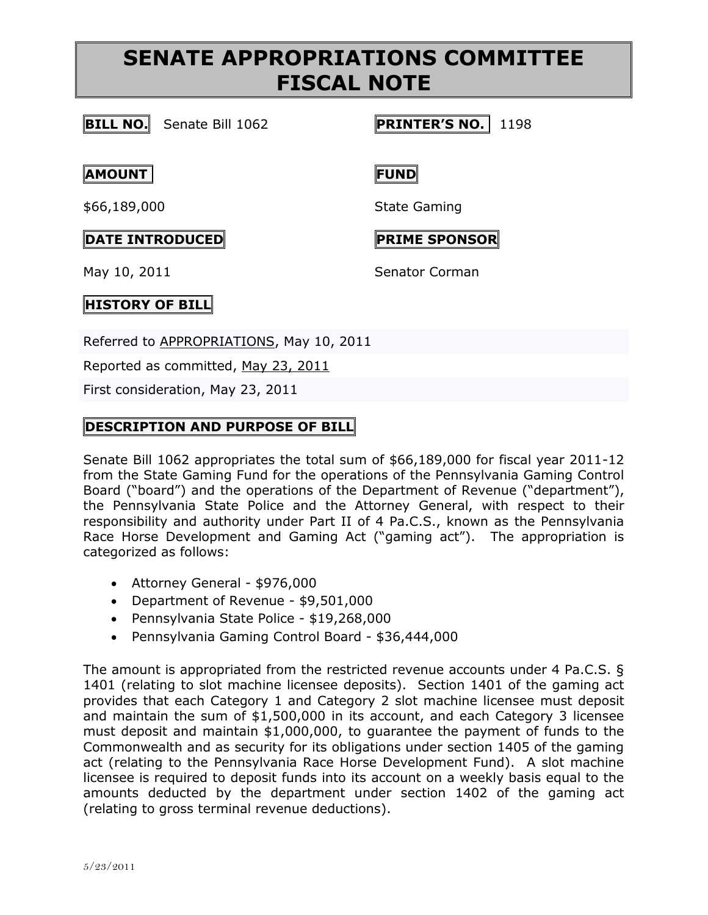# **SENATE APPROPRIATIONS COMMITTEE FISCAL NOTE**

### **BILL NO.** Senate Bill 1062 **PRINTER'S NO.** 1198

#### **AMOUNT FUND**

\$66,189,000 State Gaming

## **DATE INTRODUCED PRIME SPONSOR**

May 10, 2011 Senator Corman

#### **HISTORY OF BILL**

Referred to [APPROPRIATIONS,](http://www.legis.state.pa.us/cfdocs/cteeInfo/cteeInfo.cfm?cde=3&body=S) May 10, 2011

Reported as committed, May 23, [2011](http://www.legis.state.pa.us/cfdocs/legis/RCC/PUBLIC/listVotes.cfm?sYear=2011&sInd=0&chamber=S&cteeCde=3&nbr=1055&bBody=S&type=B&theDate=05/23/2011)

First consideration, May 23, 2011

#### **DESCRIPTION AND PURPOSE OF BILL**

Senate Bill 1062 appropriates the total sum of \$66,189,000 for fiscal year 2011-12 from the State Gaming Fund for the operations of the Pennsylvania Gaming Control Board ("board") and the operations of the Department of Revenue ("department"), the Pennsylvania State Police and the Attorney General, with respect to their responsibility and authority under Part II of 4 Pa.C.S., known as the Pennsylvania Race Horse Development and Gaming Act ("gaming act"). The appropriation is categorized as follows:

- Attorney General \$976,000
- Department of Revenue \$9,501,000
- Pennsylvania State Police \$19,268,000
- Pennsylvania Gaming Control Board \$36,444,000

The amount is appropriated from the restricted revenue accounts under 4 Pa.C.S. § 1401 (relating to slot machine licensee deposits). Section 1401 of the gaming act provides that each Category 1 and Category 2 slot machine licensee must deposit and maintain the sum of \$1,500,000 in its account, and each Category 3 licensee must deposit and maintain \$1,000,000, to guarantee the payment of funds to the Commonwealth and as security for its obligations under section 1405 of the gaming act (relating to the Pennsylvania Race Horse Development Fund). A slot machine licensee is required to deposit funds into its account on a weekly basis equal to the amounts deducted by the department under section 1402 of the gaming act (relating to gross terminal revenue deductions).